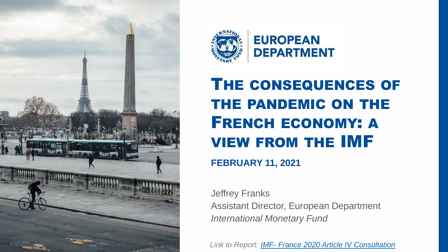



# THE CONSEQUENCES OF THE PANDEMIC ON THE FRENCH ECONOMY: A VIEW FROM THE IMF

**FEBRUARY 11, 2021**

Jeffrey Franks Assistant Director, European Department *International Monetary Fund*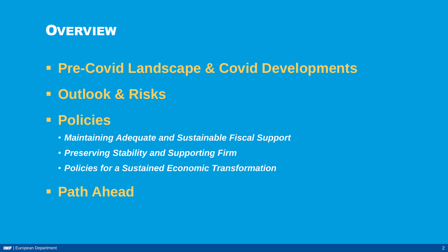

### ▪ **Pre-Covid Landscape & Covid Developments**

### ▪ **Outlook & Risks**

### ▪ **Policies**

- *Maintaining Adequate and Sustainable Fiscal Support*
- *Preserving Stability and Supporting Firm*
- *Policies for a Sustained Economic Transformation*

### ▪ **Path Ahead**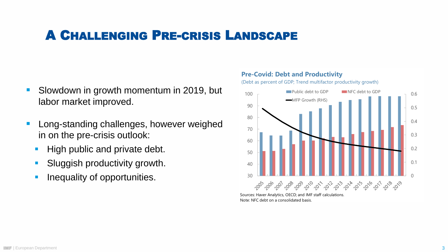### A CHALLENGING PRE-CRISIS LANDSCAPE

- Slowdown in growth momentum in 2019, but labor market improved.
- Long-standing challenges, however weighed in on the pre-crisis outlook:
	- High public and private debt.
	- **E** Sluggish productivity growth.
	- **·** Inequality of opportunities.



Note: NFC debt on a consolidated basis.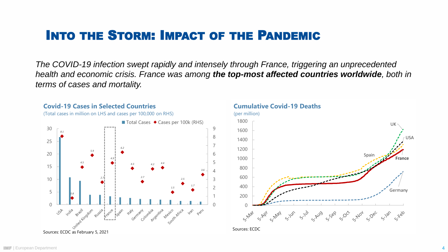## INTO THE STORM: IMPACT OF THE PANDEMIC

*The COVID-19 infection swept rapidly and intensely through France, triggering an unprecedented health and economic crisis. France was among the top-most affected countries worldwide, both in terms of cases and mortality.*



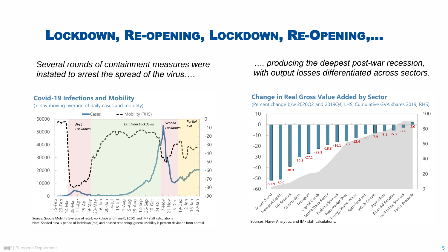### LOCKDOWN, RE-OPENING, LOCKDOWN, RE-OPENING,…

*Several rounds of containment measures were instated to arrest the spread of the virus.…*

#### **Covid-19 Infections and Mobility**

(7-day moving average of daily cases and mobility)



Source: Google Mobility (average of retail, workplace and transit), ECDC; and IMF staff calculations Note: Shaded area is period of lockdown (red) and phased reopening (green). Mobility is percent deviation from normal. *…. producing the deepest post-war recession, with output losses differentiated across sectors.*

#### **Change in Real Gross Value Added by Sector**

(Percent change b/w 2020Q2 and 2019Q4, LHS; Cumulative GVA shares 2019, RHS)

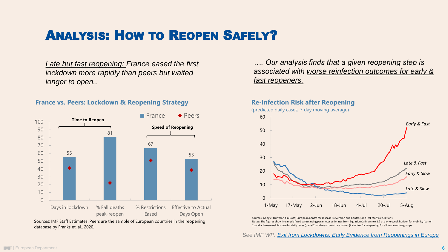## ANALYSIS: HOW TO REOPEN SAFELY?

*Late but fast reopening: France eased the first lockdown more rapidly than peers but waited longer to open..*

#### **France vs. Peers: Lockdown & Reopening Strategy**



Sources: IMF Staff Estimates. Peers are the sample of European countries in the reopening database by Franks et. al., 2020.

*…. Our analysis finds that a given reopening step is associated with worse reinfection outcomes for early & fast reopeners.*

#### **Re-infection Risk after Reopening**

(predicted daily cases, 7 day moving average)



Sources: Google; Our World in Data; European Centre for Disease Prevention and Control; and IMF staff calculations. Notes: The figures show in-sample fitted values using parameter estimates from Equation (2) in Annex 2.2 at a one-week horizon for mobility (panel 1) and a three-week horizon for daily cases (panel 2) and mean covariate values (including for reopening) for all four country groups.

*See IMF WP: [Exit from Lockdowns: Early Evidence from Reopenings in Europe](https://www.imf.org/en/Publications/WP/Issues/2020/10/21/Exiting-from-Lockdowns-Early-Evidence-from-Reopenings-in-Europe-49826)*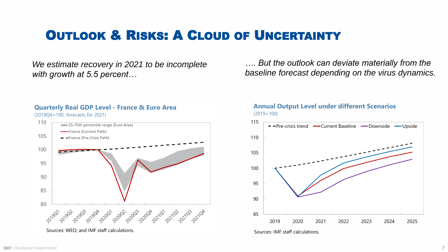### **OUTLOOK & RISKS: A CLOUD OF UNCERTAINTY**

*We estimate recovery in 2021 to be incomplete with growth at 5.5 percent…*



**Quarterly Real GDP Level - France & Euro Area**

(2019Q4=100, forecasts for 2021)

*…. But the outlook can deviate materially from the baseline forecast depending on the virus dynamics.* 



#### **Annual Output Level under different Scenarios** (2019=100)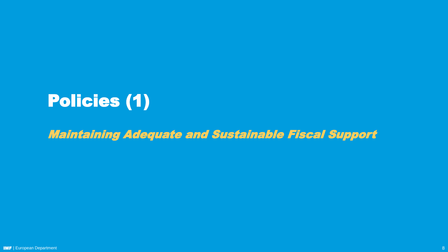# Policies (1)

Maintaining Adequate and Sustainable Fiscal Support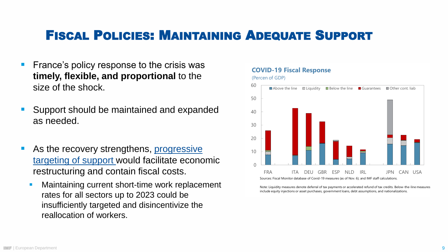### FISCAL POLICIES: MAINTAINING ADEQUATE SUPPORT

- France's policy response to the crisis was **timely, flexible, and proportional** to the size of the shock.
- Support should be maintained and expanded as needed.
- As the recovery strengthens, progressive targeting of support would facilitate economic restructuring and contain fiscal costs.
	- Maintaining current short-time work replacement rates for all sectors up to 2023 could be insufficiently targeted and disincentivize the reallocation of workers.

#### $\cap$ 10 20 30 40 50 60 FRA ITA DEU GBR ESP NLD IRL JPN CAN USA  $\Box$  Above the line  $\Box$   $\Box$  Liquidity  $\Box$  Below the line  $\Box$  Guarantees  $\Box$  Other cont. liab Sources: Fiscal Monitor database of Covid-19 measures (as of Nov. 6); and IMF staff calculations.

**COVID-19 Fiscal Response**

(Percen of GDP)

Note: Liquidity measures denote deferral of tax payments or accelerated refund of tax credits. Below-the-line measures include equity injections or asset purchases, government loans, debt assumptions, and nationalizations.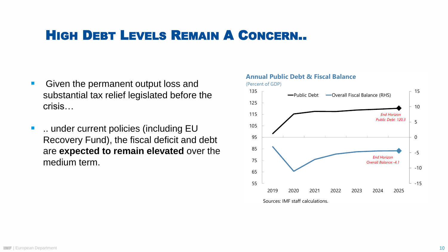### HIGH DEBT LEVELS REMAIN A CONCERN..

- Given the permanent output loss and substantial tax relief legislated before the crisis…
- ... under current policies (including EU Recovery Fund), the fiscal deficit and debt are **expected to remain elevated** over the medium term.

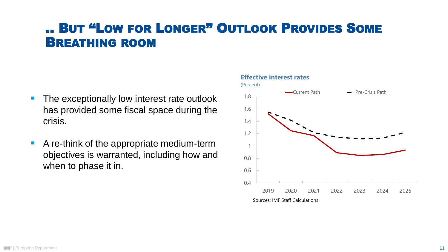### .. BUT "LOW FOR LONGER" OUTLOOK PROVIDES SOME BREATHING ROOM

- The exceptionally low interest rate outlook has provided some fiscal space during the crisis.
- A re-think of the appropriate medium-term objectives is warranted, including how and when to phase it in.

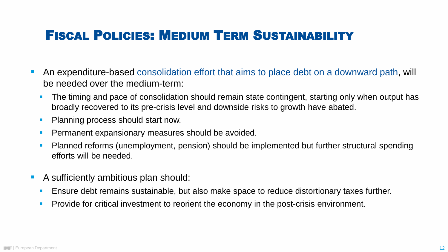## FISCAL POLICIES: MEDIUM TERM SUSTAINABILITY

- An expenditure-based consolidation effort that aims to place debt on a downward path, will be needed over the medium-term:
	- **The timing and pace of consolidation should remain state contingent, starting only when output has** broadly recovered to its pre-crisis level and downside risks to growth have abated.
	- **Planning process should start now.**
	- **Permanent expansionary measures should be avoided.**
	- Planned reforms (unemployment, pension) should be implemented but further structural spending efforts will be needed.
- A sufficiently ambitious plan should:
	- **E** Ensure debt remains sustainable, but also make space to reduce distortionary taxes further.
	- **Provide for critical investment to reorient the economy in the post-crisis environment.**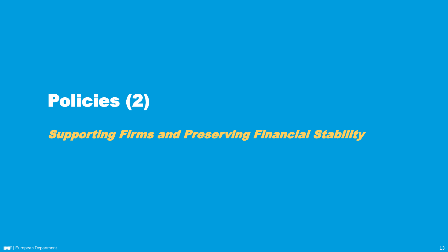# Policies (2)

Supporting Firms and Preserving Financial Stability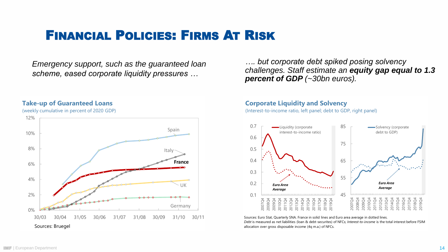### FINANCIAL POLICIES: FIRMS AT RISK

*Emergency support, such as the guaranteed loan scheme, eased corporate liquidity pressures …*



**Take-up of Guaranteed Loans**

(weekly cumulative in percent of 2020 GDP)

*…. but corporate debt spiked posing solvency challenges. Staff estimate an equity gap equal to 1.3 percent of GDP (~30bn euros).*

#### **Corporate Liquidity and Solvency**

(Interest-to-income ratio, left panel; debt to GDP, right panel)



Sources: Euro Stat, Quarterly SNA. France in solid lines and Euro area average in dotted lines. *Debt* is measured as net liabilities (loan & debt-securites) of NFCs; *Interest-to-income* is the total interest before FSIM allocation over gross disposable income (4q m.a.) of NFCs.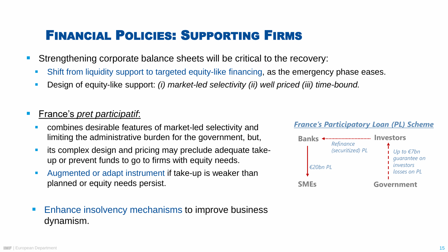### FINANCIAL POLICIES: SUPPORTING FIRMS

- Strengthening corporate balance sheets will be critical to the recovery:
	- Shift from liquidity support to targeted equity-like financing, as the emergency phase eases.
	- Design of equity-like support: *(i) market-led selectivity (ii) well priced (iii) time-bound.*

### **France's** *pret participatif*:

- combines desirable features of market-led selectivity and limiting the administrative burden for the government, but,
- its complex design and pricing may preclude adequate takeup or prevent funds to go to firms with equity needs.
- Augmented or adapt instrument if take-up is weaker than planned or equity needs persist.
- Enhance insolvency mechanisms to improve business dynamism.

#### *France's Participatory Loan (PL) Scheme*

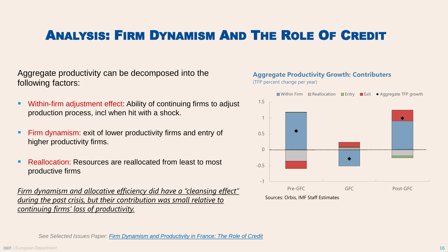## ANALYSIS: FIRM DYNAMISM AND THE ROLE OF CREDIT

Aggregate productivity can be decomposed into the following factors:

- Within-firm adjustment effect: Ability of continuing firms to adjust production process, incl when hit with a shock.
- Firm dynamism: exit of lower productivity firms and entry of higher productivity firms.
- **Reallocation: Resources are reallocated from least to most** productive firms

*Firm dynamism and allocative efficiency did have a "cleansing effect" during the past crisis, but their contribution was small relative to continuing firms' loss of productivity.*

#### **Aggregate Productivity Growth: Contributers** (TFP percent change per year)



Sources: Orbis, IMF Staff Estimates

*See Selected Issues Paper: [Firm Dynamism and Productivity in France: The Role of Credit](https://www.imf.org/en/Publications/CR/Issues/2021/01/15/France-Selected-Issues-50023)*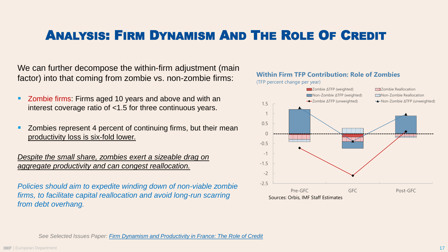## ANALYSIS: FIRM DYNAMISM AND THE ROLE OF CREDIT

We can further decompose the within-firm adjustment (main factor) into that coming from zombie vs. non-zombie firms:

- Zombie firms: Firms aged 10 years and above and with an interest coverage ratio of <1.5 for three continuous years.
- Zombies represent 4 percent of continuing firms, but their mean productivity loss is six-fold lower.

*Despite the small share, zombies exert a sizeable drag on aggregate productivity and can congest reallocation.*

*Policies should aim to expedite winding down of non-viable zombie firms, to facilitate capital reallocation and avoid long-run scarring from debt overhang.*



*See Selected Issues Paper: [Firm Dynamism and Productivity in France: The Role of Credit](https://www.imf.org/en/Publications/CR/Issues/2021/01/15/France-Selected-Issues-50023)*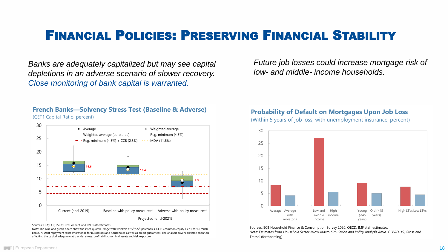### FINANCIAL POLICIES: PRESERVING FINANCIAL STABILITY

*Banks are adequately capitalized but may see capital depletions in an adverse scenario of slower recovery. Close monitoring of bank capital is warranted.* 

*Future job losses could increase mortgage risk of low- and middle- income households.*

#### **French Banks—Solvency Stress Test (Baseline & Adverse)** (CET1 Capital Ratio, percent)



Sources: EBA; ECB; ESRB; FitchConnect; and IMF staff estimates.

Note: The blue and green boxes show the inter-quartile range with whiskers at 5<sup>th</sup>/95<sup>th</sup> percentiles. CET1=common equity Tier 1 for 8 French banks. \*/ Debt repayment relief (moratoria) for businesses and households as well as credit guarantees. The analysis covers all three channels affecting the capital adequacy ratio under stress: profitability, nominal assets and risk exposure.

#### **Probability of Default on Mortgages Upon Job Loss**

(Within 5 years of job loss, with unemployment insurance, percent)



Sources: ECB Household Finance & Consumption Survey 2020, OECD; IMF staff estimates. Note: Estimates from *Household Sector Micro-Macro Simulation and Policy Analysis Amid COVID-19*, Gross and Tressel (forthcoming).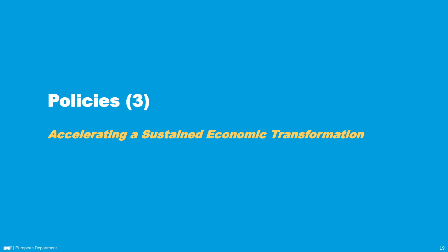# Policies (3)

Accelerating a Sustained Economic Transformation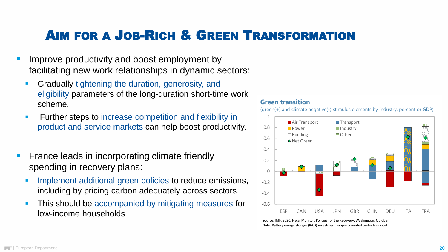### AIM FOR A JOB-RICH & GREEN TRANSFORMATION

- Improve productivity and boost employment by facilitating new work relationships in dynamic sectors:
	- **Gradually tightening the duration, generosity, and** eligibility parameters of the long-duration short-time work scheme.
	- **EXECUTE:** Further steps to increase competition and flexibility in product and service markets can help boost productivity.
- **France leads in incorporating climate friendly** spending in recovery plans:
	- **Implement additional green policies to reduce emissions,** including by pricing carbon adequately across sectors.
	- **This should be accompanied by mitigating measures for** low-income households.

#### **Green transition**

(green(+) and climate negative(-) stimulus elements by industry, percent or GDP)



Source: IMF. 2020. Fiscal Monitor: Policies for the Recovery. Washington, October. Note: Battery energy storage (R&D) investment support counted under transport.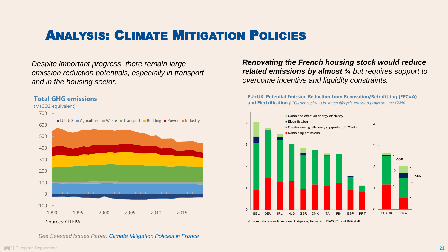## ANALYSIS: CLIMATE MITIGATION POLICIES

*Despite important progress, there remain large emission reduction potentials, especially in transport and in the housing sector.*

#### **Total GHG emissions**





*Renovating the French housing stock would reduce related emissions by almost ¾ but requires support to overcome incentive and liquidity constraints.* 

**EU+UK: Potential Emission Reduction from Renovation/Retrofitting (EPC=A) and Electrification** *(tCO<sup>2</sup> per capita, U.N. mean lifecycle emission projection per GWh)*



*See Selected Issues Paper: [Climate Mitigation Policies in France](https://www.imf.org/en/Publications/CR/Issues/2021/01/15/France-Selected-Issues-50023)*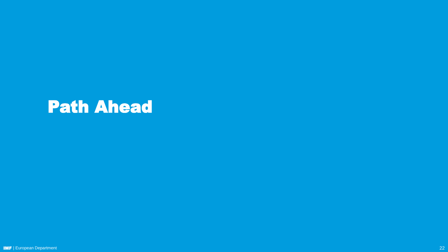# Path Ahead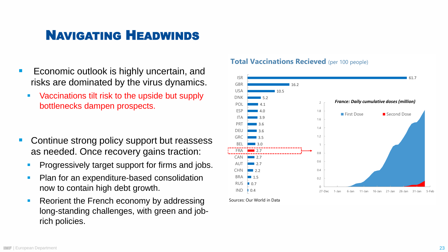- risks are dominated by the virus dynamics.
	- Vaccinations tilt risk to the upside but supply bottlenecks dampen prospects.
- Continue strong policy support but reassess as needed. Once recovery gains traction:
	- **Progressively target support for firms and jobs.**
	- Plan for an expenditure-based consolidation now to contain high debt growth.
	- Reorient the French economy by addressing long -standing challenges, with green and job rich policies.

#### **Total Vaccinations Recieved** (per 100 people)